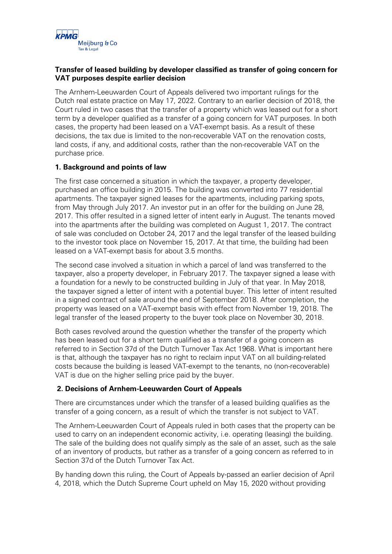

## **Transfer of leased building by developer classified as transfer of going concern for VAT purposes despite earlier decision**

The Arnhem-Leeuwarden Court of Appeals delivered two important rulings for the Dutch real estate practice on May 17, 2022. Contrary to an earlier decision of 2018, the Court ruled in two cases that the transfer of a property which was leased out for a short term by a developer qualified as a transfer of a going concern for VAT purposes. In both cases, the property had been leased on a VAT-exempt basis. As a result of these decisions, the tax due is limited to the non-recoverable VAT on the renovation costs, land costs, if any, and additional costs, rather than the non-recoverable VAT on the purchase price.

## **1. Background and points of law**

The first case concerned a situation in which the taxpayer, a property developer, purchased an office building in 2015. The building was converted into 77 residential apartments. The taxpayer signed leases for the apartments, including parking spots, from May through July 2017. An investor put in an offer for the building on June 28, 2017. This offer resulted in a signed letter of intent early in August. The tenants moved into the apartments after the building was completed on August 1, 2017. The contract of sale was concluded on October 24, 2017 and the legal transfer of the leased building to the investor took place on November 15, 2017. At that time, the building had been leased on a VAT-exempt basis for about 3.5 months.

The second case involved a situation in which a parcel of land was transferred to the taxpayer, also a property developer, in February 2017. The taxpayer signed a lease with a foundation for a newly to be constructed building in July of that year. In May 2018, the taxpayer signed a letter of intent with a potential buyer. This letter of intent resulted in a signed contract of sale around the end of September 2018. After completion, the property was leased on a VAT-exempt basis with effect from November 19, 2018. The legal transfer of the leased property to the buyer took place on November 30, 2018.

Both cases revolved around the question whether the transfer of the property which has been leased out for a short term qualified as a transfer of a going concern as referred to in Section 37d of the Dutch Turnover Tax Act 1968. What is important here is that, although the taxpayer has no right to reclaim input VAT on all building-related costs because the building is leased VAT-exempt to the tenants, no (non-recoverable) VAT is due on the higher selling price paid by the buyer.

## **2. Decisions of Arnhem-Leeuwarden Court of Appeals**

There are circumstances under which the transfer of a leased building qualifies as the transfer of a going concern, as a result of which the transfer is not subject to VAT.

The Arnhem-Leeuwarden Court of Appeals ruled in both cases that the property can be used to carry on an independent economic activity, i.e. operating (leasing) the building. The sale of the building does not qualify simply as the sale of an asset, such as the sale of an inventory of products, but rather as a transfer of a going concern as referred to in Section 37d of the Dutch Turnover Tax Act.

By handing down this ruling, the Court of Appeals by-passed an earlier decision of April 4, 2018, which the Dutch Supreme Court upheld on May 15, 2020 without providing